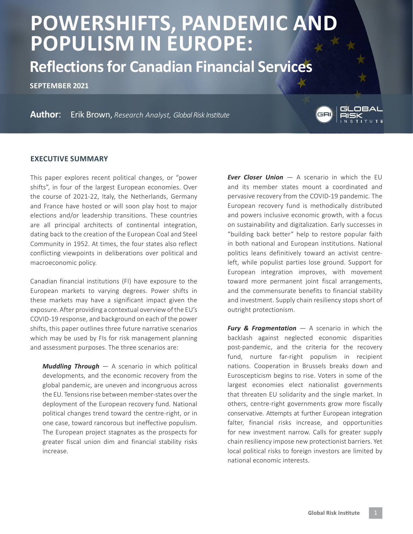# **POWERSHIFTS, PANDEMIC AND POPULISM IN EUROPE:**

**Reflections for Canadian Financial Services**

**SEPTEMBER 2021**

**Author**: Erik Brown, *Research Analyst, Global Risk Institute*



#### **EXECUTIVE SUMMARY**

This paper explores recent political changes, or "power shifts", in four of the largest European economies. Over the course of 2021-22, Italy, the Netherlands, Germany and France have hosted or will soon play host to major elections and/or leadership transitions. These countries are all principal architects of continental integration, dating back to the creation of the European Coal and Steel Community in 1952. At times, the four states also reflect conflicting viewpoints in deliberations over political and macroeconomic policy.

Canadian financial institutions (FI) have exposure to the European markets to varying degrees. Power shifts in these markets may have a significant impact given the exposure. After providing a contextual overview of the EU's COVID-19 response, and background on each of the power shifts, this paper outlines three future narrative scenarios which may be used by FIs for risk management planning and assessment purposes. The three scenarios are:

*Muddling Through* — A scenario in which political developments, and the economic recovery from the global pandemic, are uneven and incongruous across the EU. Tensions rise between member-states over the deployment of the European recovery fund. National political changes trend toward the centre-right, or in one case, toward rancorous but ineffective populism. The European project stagnates as the prospects for greater fiscal union dim and financial stability risks increase.

*Ever Closer Union* — A scenario in which the EU and its member states mount a coordinated and pervasive recovery from the COVID-19 pandemic. The European recovery fund is methodically distributed and powers inclusive economic growth, with a focus on sustainability and digitalization. Early successes in "building back better" help to restore popular faith in both national and European institutions. National politics leans definitively toward an activist centreleft, while populist parties lose ground. Support for European integration improves, with movement toward more permanent joint fiscal arrangements, and the commensurate benefits to financial stability and investment. Supply chain resiliency stops short of outright protectionism.

*Fury & Fragmentation* — A scenario in which the backlash against neglected economic disparities post-pandemic, and the criteria for the recovery fund, nurture far-right populism in recipient nations. Cooperation in Brussels breaks down and Euroscepticism begins to rise. Voters in some of the largest economies elect nationalist governments that threaten EU solidarity and the single market. In others, centre-right governments grow more fiscally conservative. Attempts at further European integration falter, financial risks increase, and opportunities for new investment narrow. Calls for greater supply chain resiliency impose new protectionist barriers. Yet local political risks to foreign investors are limited by national economic interests.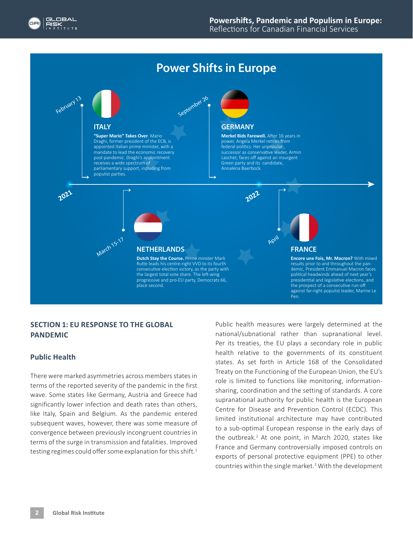## **Power Shifts in Europe**



place second.



**Encore une Fois, Mr. Macron?** With mixed results prior to and throughout the pandemic, President Emmanuel Macron faces political headwinds ahead of next year's presidential and legislative elections, and the prospect of a consecutive run-off against far-right populist leader, Marine Le Pen.

### **SECTION 1: EU RESPONSE TO THE GLOBAL PANDEMIC**

#### **Public Health**

There were marked asymmetries across members states in terms of the reported severity of the pandemic in the first wave. Some states like Germany, Austria and Greece had significantly lower infection and death rates than others, like Italy, Spain and Belgium. As the pandemic entered subsequent waves, however, there was some measure of convergence between previously incongruent countries in terms of the surge in transmission and fatalities. Improved testing regimes could offer some explanation for this shift.<sup>1</sup>

Public health measures were largely determined at the national/subnational rather than supranational level. Per its treaties, the EU plays a secondary role in public health relative to the governments of its constituent states. As set forth in Article 168 of the Consolidated Treaty on the Functioning of the European Union, the EU's role is limited to functions like monitoring, informationsharing, coordination and the setting of standards. A core supranational authority for public health is the European Centre for Disease and Prevention Control (ECDC). This limited institutional architecture may have contributed to a sub-optimal European response in the early days of the outbreak.<sup>2</sup> At one point, in March 2020, states like France and Germany controversially imposed controls on exports of personal protective equipment (PPE) to other countries within the single market.<sup>3</sup> With the development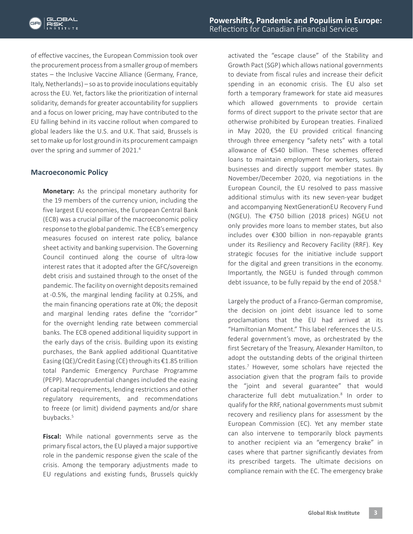of effective vaccines, the European Commission took over the procurement process from a smaller group of members states – the Inclusive Vaccine Alliance (Germany, France, Italy, Netherlands) – so as to provide inoculations equitably across the EU. Yet, factors like the prioritization of internal solidarity, demands for greater accountability for suppliers and a focus on lower pricing, may have contributed to the EU falling behind in its vaccine rollout when compared to global leaders like the U.S. and U.K. That said, Brussels is set to make up for lost ground in its procurement campaign over the spring and summer of 2021.4

#### **Macroeconomic Policy**

**Monetary:** As the principal monetary authority for the 19 members of the currency union, including the five largest EU economies, the European Central Bank (ECB) was a crucial pillar of the macroeconomic policy response to the global pandemic. The ECB's emergency measures focused on interest rate policy, balance sheet activity and banking supervision. The Governing Council continued along the course of ultra-low interest rates that it adopted after the GFC/sovereign debt crisis and sustained through to the onset of the pandemic. The facility on overnight deposits remained at -0.5%, the marginal lending facility at 0.25%, and the main financing operations rate at 0%; the deposit and marginal lending rates define the "corridor" for the overnight lending rate between commercial banks. The ECB opened additional liquidity support in the early days of the crisis. Building upon its existing purchases, the Bank applied additional Quantitative Easing (QE)/Credit Easing (CE) through its €1.85 trillion total Pandemic Emergency Purchase Programme (PEPP). Macroprudential changes included the easing of capital requirements, lending restrictions and other regulatory requirements, and recommendations to freeze (or limit) dividend payments and/or share buybacks.<sup>5</sup>

**Fiscal:** While national governments serve as the primary fiscal actors, the EU played a major supportive role in the pandemic response given the scale of the crisis. Among the temporary adjustments made to EU regulations and existing funds, Brussels quickly

activated the "escape clause" of the Stability and Growth Pact (SGP) which allows national governments to deviate from fiscal rules and increase their deficit spending in an economic crisis. The EU also set forth a temporary framework for state aid measures which allowed governments to provide certain forms of direct support to the private sector that are otherwise prohibited by European treaties. Finalized in May 2020, the EU provided critical financing through three emergency "safety nets" with a total allowance of €540 billion. These schemes offered loans to maintain employment for workers, sustain businesses and directly support member states. By November/December 2020, via negotiations in the European Council, the EU resolved to pass massive additional stimulus with its new seven-year budget and accompanying NextGenerationEU Recovery Fund (NGEU). The €750 billion (2018 prices) NGEU not only provides more loans to member states, but also includes over €300 billion in non-repayable grants under its Resiliency and Recovery Facility (RRF). Key strategic focuses for the initiative include support for the digital and green transitions in the economy. Importantly, the NGEU is funded through common debt issuance, to be fully repaid by the end of 2058.<sup>6</sup>

Largely the product of a Franco-German compromise, the decision on joint debt issuance led to some proclamations that the EU had arrived at its "Hamiltonian Moment." This label references the U.S. federal government's move, as orchestrated by the first Secretary of the Treasury, Alexander Hamilton, to adopt the outstanding debts of the original thirteen states.7 However, some scholars have rejected the association given that the program fails to provide the "joint and several guarantee" that would characterize full debt mutualization.8 In order to qualify for the RRF, national governments must submit recovery and resiliency plans for assessment by the European Commission (EC). Yet any member state can also intervene to temporarily block payments to another recipient via an "emergency brake" in cases where that partner significantly deviates from its prescribed targets. The ultimate decisions on compliance remain with the EC. The emergency brake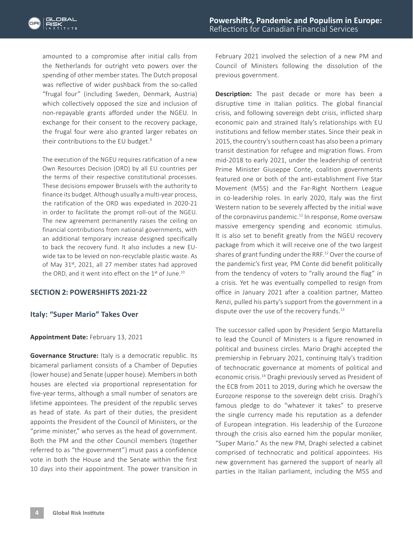amounted to a compromise after initial calls from the Netherlands for outright veto powers over the spending of other member states. The Dutch proposal was reflective of wider pushback from the so-called "frugal four" (including Sweden, Denmark, Austria) which collectively opposed the size and inclusion of non-repayable grants afforded under the NGEU. In exchange for their consent to the recovery package, the frugal four were also granted larger rebates on their contributions to the EU budget.<sup>9</sup>

The execution of the NGEU requires ratification of a new Own Resources Decision (ORD) by all EU countries per the terms of their respective constitutional processes. These decisions empower Brussels with the authority to finance its budget. Although usually a multi-year process, the ratification of the ORD was expediated in 2020-21 in order to facilitate the prompt roll-out of the NGEU. The new agreement permanently raises the ceiling on financial contributions from national governments, with an additional temporary increase designed specifically to back the recovery fund. It also includes a new EUwide tax to be levied on non-recyclable plastic waste. As of May 31<sup>st</sup>, 2021, all 27 member states had approved the ORD, and it went into effect on the 1<sup>st</sup> of June.<sup>10</sup>

#### **SECTION 2: POWERSHIFTS 2021-22**

#### **Italy: "Super Mario" Takes Over**

#### **Appointment Date:** February 13, 2021

**Governance Structure:** Italy is a democratic republic. Its bicameral parliament consists of a Chamber of Deputies (lower house) and Senate (upper house). Members in both houses are elected via proportional representation for five-year terms, although a small number of senators are lifetime appointees. The president of the republic serves as head of state. As part of their duties, the president appoints the President of the Council of Ministers, or the "prime minister," who serves as the head of government. Both the PM and the other Council members (together referred to as "the government") must pass a confidence vote in both the House and the Senate within the first 10 days into their appointment. The power transition in February 2021 involved the selection of a new PM and Council of Ministers following the dissolution of the previous government.

**Description:** The past decade or more has been a disruptive time in Italian politics. The global financial crisis, and following sovereign debt crisis, inflicted sharp economic pain and strained Italy's relationships with EU institutions and fellow member states. Since their peak in 2015, the country's southern coast has also been a primary transit destination for refugee and migration flows. From mid-2018 to early 2021, under the leadership of centrist Prime Minister Giuseppe Conte, coalition governments featured one or both of the anti-establishment Five Star Movement (M5S) and the Far-Right Northern League in co-leadership roles. In early 2020, Italy was the first Western nation to be severely affected by the initial wave of the coronavirus pandemic.<sup>11</sup> In response, Rome oversaw massive emergency spending and economic stimulus. It is also set to benefit greatly from the NGEU recovery package from which it will receive one of the two largest shares of grant funding under the RRF.12 Over the course of the pandemic's first year, PM Conte did benefit politically from the tendency of voters to "rally around the flag" in a crisis. Yet he was eventually compelled to resign from office in January 2021 after a coalition partner, Matteo Renzi, pulled his party's support from the government in a dispute over the use of the recovery funds.<sup>13</sup>

The successor called upon by President Sergio Mattarella to lead the Council of Ministers is a figure renowned in political and business circles. Mario Draghi accepted the premiership in February 2021, continuing Italy's tradition of technocratic governance at moments of political and economic crisis.14 Draghi previously served as President of the ECB from 2011 to 2019, during which he oversaw the Eurozone response to the sovereign debt crisis. Draghi's famous pledge to do "whatever it takes" to preserve the single currency made his reputation as a defender of European integration. His leadership of the Eurozone through the crisis also earned him the popular moniker, "Super Mario." As the new PM, Draghi selected a cabinet comprised of technocratic and political appointees. His new government has garnered the support of nearly all parties in the Italian parliament, including the M5S and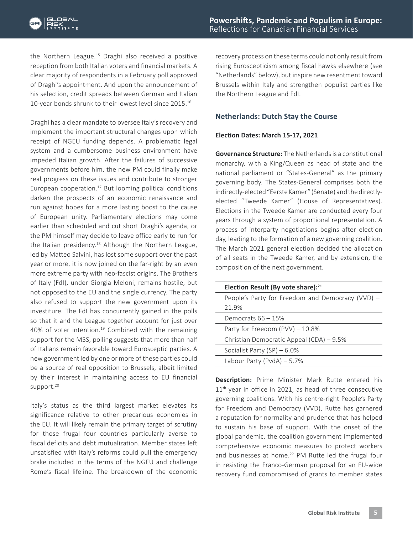the Northern League.15 Draghi also received a positive reception from both Italian voters and financial markets. A clear majority of respondents in a February poll approved of Draghi's appointment. And upon the announcement of his selection, credit spreads between German and Italian 10-year bonds shrunk to their lowest level since 2015.16

Draghi has a clear mandate to oversee Italy's recovery and implement the important structural changes upon which receipt of NGEU funding depends. A problematic legal system and a cumbersome business environment have impeded Italian growth. After the failures of successive governments before him, the new PM could finally make real progress on these issues and contribute to stronger European cooperation.17 But looming political conditions darken the prospects of an economic renaissance and run against hopes for a more lasting boost to the cause of European unity. Parliamentary elections may come earlier than scheduled and cut short Draghi's agenda, or the PM himself may decide to leave office early to run for the Italian presidency.<sup>18</sup> Although the Northern League, led by Matteo Salvini, has lost some support over the past year or more, it is now joined on the far-right by an even more extreme party with neo-fascist origins. The Brothers of Italy (FdI), under Giorgia Meloni, remains hostile, but not opposed to the EU and the single currency. The party also refused to support the new government upon its investiture. The FdI has concurrently gained in the polls so that it and the League together account for just over 40% of voter intention.<sup>19</sup> Combined with the remaining support for the M5S, polling suggests that more than half of Italians remain favorable toward Eurosceptic parties. A new government led by one or more of these parties could be a source of real opposition to Brussels, albeit limited by their interest in maintaining access to EU financial support.<sup>20</sup>

Italy's status as the third largest market elevates its significance relative to other precarious economies in the EU. It will likely remain the primary target of scrutiny for those frugal four countries particularly averse to fiscal deficits and debt mutualization. Member states left unsatisfied with Italy's reforms could pull the emergency brake included in the terms of the NGEU and challenge Rome's fiscal lifeline. The breakdown of the economic

recovery process on these terms could not only result from rising Euroscepticism among fiscal hawks elsewhere (see "Netherlands" below), but inspire new resentment toward Brussels within Italy and strengthen populist parties like the Northern League and FdI.

#### **Netherlands: Dutch Stay the Course**

#### **Election Dates: March 15-17, 2021**

**Governance Structure:** The Netherlands is a constitutional monarchy, with a King/Queen as head of state and the national parliament or "States-General" as the primary governing body. The States-General comprises both the indirectly-elected "Eerste Kamer" (Senate) and the directlyelected "Tweede Kamer" (House of Representatives). Elections in the Tweede Kamer are conducted every four years through a system of proportional representation. A process of interparty negotiations begins after election day, leading to the formation of a new governing coalition. The March 2021 general election decided the allocation of all seats in the Tweede Kamer, and by extension, the composition of the next government.

| Election Result (By vote share): $^{21}$         |  |
|--------------------------------------------------|--|
| People's Party for Freedom and Democracy (VVD) - |  |
| 21.9%                                            |  |
| Democrats $66 - 15\%$                            |  |
| Party for Freedom $(PVV) - 10.8%$                |  |
| Christian Democratic Appeal (CDA) - 9.5%         |  |
| Socialist Party $(SP) - 6.0\%$                   |  |
| Labour Party (PvdA) $-5.7%$                      |  |

**Description:** Prime Minister Mark Rutte entered his 11<sup>th</sup> year in office in 2021, as head of three consecutive governing coalitions. With his centre-right People's Party for Freedom and Democracy (VVD), Rutte has garnered a reputation for normality and prudence that has helped to sustain his base of support. With the onset of the global pandemic, the coalition government implemented comprehensive economic measures to protect workers and businesses at home.<sup>22</sup> PM Rutte led the frugal four in resisting the Franco-German proposal for an EU-wide recovery fund compromised of grants to member states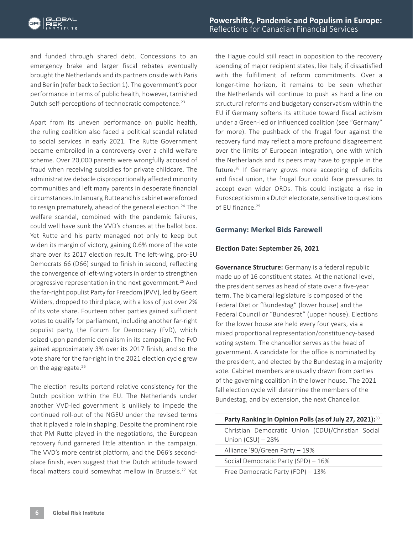and funded through shared debt. Concessions to an emergency brake and larger fiscal rebates eventually brought the Netherlands and its partners onside with Paris and Berlin (refer back to Section 1). The government's poor performance in terms of public health, however, tarnished Dutch self-perceptions of technocratic competence.<sup>23</sup>

Apart from its uneven performance on public health, the ruling coalition also faced a political scandal related to social services in early 2021. The Rutte Government became embroiled in a controversy over a child welfare scheme. Over 20,000 parents were wrongfully accused of fraud when receiving subsidies for private childcare. The administrative debacle disproportionally affected minority communities and left many parents in desperate financial circumstances. In January, Rutte and his cabinet were forced to resign prematurely, ahead of the general election.<sup>24</sup> The welfare scandal, combined with the pandemic failures, could well have sunk the VVD's chances at the ballot box. Yet Rutte and his party managed not only to keep but widen its margin of victory, gaining 0.6% more of the vote share over its 2017 election result. The left-wing, pro-EU Democrats 66 (D66) surged to finish in second, reflecting the convergence of left-wing voters in order to strengthen progressive representation in the next government.25 And the far-right populist Party for Freedom (PVV), led by Geert Wilders, dropped to third place, with a loss of just over 2% of its vote share. Fourteen other parties gained sufficient votes to qualify for parliament, including another far-right populist party, the Forum for Democracy (FvD), which seized upon pandemic denialism in its campaign. The FvD gained approximately 3% over its 2017 finish, and so the vote share for the far-right in the 2021 election cycle grew on the aggregate.<sup>26</sup>

The election results portend relative consistency for the Dutch position within the EU. The Netherlands under another VVD-led government is unlikely to impede the continued roll-out of the NGEU under the revised terms that it played a role in shaping. Despite the prominent role that PM Rutte played in the negotiations, the European recovery fund garnered little attention in the campaign. The VVD's more centrist platform, and the D66's secondplace finish, even suggest that the Dutch attitude toward fiscal matters could somewhat mellow in Brussels.<sup>27</sup> Yet

the Hague could still react in opposition to the recovery spending of major recipient states, like Italy, if dissatisfied with the fulfillment of reform commitments. Over a longer-time horizon, it remains to be seen whether the Netherlands will continue to push as hard a line on structural reforms and budgetary conservatism within the EU if Germany softens its attitude toward fiscal activism under a Green-led or influenced coalition (see "Germany" for more). The pushback of the frugal four against the recovery fund may reflect a more profound disagreement over the limits of European integration, one with which the Netherlands and its peers may have to grapple in the future.28 If Germany grows more accepting of deficits and fiscal union, the frugal four could face pressures to accept even wider ORDs. This could instigate a rise in Euroscepticism in a Dutch electorate, sensitive to questions of EU finance.<sup>29</sup>

#### **Germany: Merkel Bids Farewell**

#### **Election Date: September 26, 2021**

**Governance Structure:** Germany is a federal republic made up of 16 constituent states. At the national level, the president serves as head of state over a five-year term. The bicameral legislature is composed of the Federal Diet or "Bundestag" (lower house) and the Federal Council or "Bundesrat" (upper house). Elections for the lower house are held every four years, via a mixed proportional representation/constituency-based voting system. The chancellor serves as the head of government. A candidate for the office is nominated by the president, and elected by the Bundestag in a majority vote. Cabinet members are usually drawn from parties of the governing coalition in the lower house. The 2021 fall election cycle will determine the members of the Bundestag, and by extension, the next Chancellor.

| Party Ranking in Opinion Polls (as of July 27, 2021): <sup>30</sup> |  |
|---------------------------------------------------------------------|--|
| Christian Democratic Union (CDU)/Christian Social                   |  |
| Union $(CSU) - 28%$                                                 |  |
| Alliance '90/Green Party - 19%                                      |  |
| Social Democratic Party (SPD) - 16%                                 |  |
| Free Democratic Party (FDP) - 13%                                   |  |
|                                                                     |  |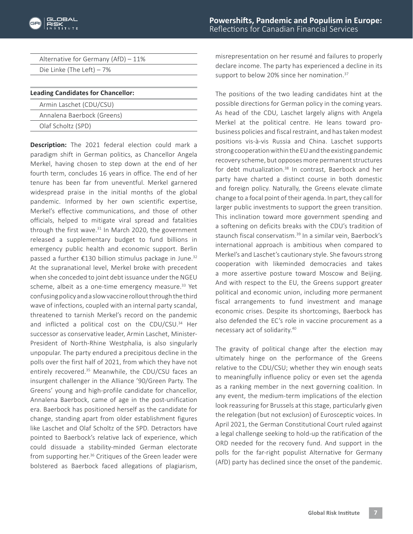| Alternative for Germany (AfD) - 11% |  |
|-------------------------------------|--|
| Die Linke (The Left) $-7\%$         |  |
|                                     |  |

| <b>Leading Candidates for Chancellor:</b> |  |
|-------------------------------------------|--|
| Armin Laschet (CDU/CSU)                   |  |
| Annalena Baerbock (Greens)                |  |
| Olaf Scholtz (SPD)                        |  |

**Description:** The 2021 federal election could mark a paradigm shift in German politics, as Chancellor Angela Merkel, having chosen to step down at the end of her fourth term, concludes 16 years in office. The end of her tenure has been far from uneventful. Merkel garnered widespread praise in the initial months of the global pandemic. Informed by her own scientific expertise, Merkel's effective communications, and those of other officials, helped to mitigate viral spread and fatalities through the first wave. $31$  In March 2020, the government released a supplementary budget to fund billions in emergency public health and economic support. Berlin passed a further €130 billion stimulus package in June.<sup>32</sup> At the supranational level, Merkel broke with precedent when she conceded to joint debt issuance under the NGEU scheme, albeit as a one-time emergency measure.<sup>33</sup> Yet confusing policy and a slow vaccine rollout through the third wave of infections, coupled with an internal party scandal, threatened to tarnish Merkel's record on the pandemic and inflicted a political cost on the CDU/CSU.<sup>34</sup> Her successor as conservative leader, Armin Laschet, Minister-President of North-Rhine Westphalia, is also singularly unpopular. The party endured a precipitous decline in the polls over the first half of 2021, from which they have not entirely recovered.<sup>35</sup> Meanwhile, the CDU/CSU faces an insurgent challenger in the Alliance '90/Green Party. The Greens' young and high-profile candidate for chancellor, Annalena Baerbock, came of age in the post-unification era. Baerbock has positioned herself as the candidate for change, standing apart from older establishment figures like Laschet and Olaf Scholtz of the SPD. Detractors have pointed to Baerbock's relative lack of experience, which could dissuade a stability-minded German electorate from supporting her.<sup>36</sup> Critiques of the Green leader were bolstered as Baerbock faced allegations of plagiarism,

misrepresentation on her resumé and failures to properly declare income. The party has experienced a decline in its support to below 20% since her nomination.<sup>37</sup>

The positions of the two leading candidates hint at the possible directions for German policy in the coming years. As head of the CDU, Laschet largely aligns with Angela Merkel at the political centre. He leans toward probusiness policies and fiscal restraint, and has taken modest positions vis-à-vis Russia and China. Laschet supports strong cooperation within the EU and the existing pandemic recovery scheme, but opposes more permanent structures for debt mutualization.<sup>38</sup> In contrast, Baerbock and her party have charted a distinct course in both domestic and foreign policy. Naturally, the Greens elevate climate change to a focal point of their agenda. In part, they call for larger public investments to support the green transition. This inclination toward more government spending and a softening on deficits breaks with the CDU's tradition of staunch fiscal conservatism.<sup>39</sup> In a similar vein, Baerbock's international approach is ambitious when compared to Merkel's and Laschet's cautionary style. She favours strong cooperation with likeminded democracies and takes a more assertive posture toward Moscow and Beijing. And with respect to the EU, the Greens support greater political and economic union, including more permanent fiscal arrangements to fund investment and manage economic crises. Despite its shortcomings, Baerbock has also defended the EC's role in vaccine procurement as a necessary act of solidarity.40

The gravity of political change after the election may ultimately hinge on the performance of the Greens relative to the CDU/CSU; whether they win enough seats to meaningfully influence policy or even set the agenda as a ranking member in the next governing coalition. In any event, the medium-term implications of the election look reassuring for Brussels at this stage, particularly given the relegation (but not exclusion) of Eurosceptic voices. In April 2021, the German Constitutional Court ruled against a legal challenge seeking to hold-up the ratification of the ORD needed for the recovery fund. And support in the polls for the far-right populist Alternative for Germany (AfD) party has declined since the onset of the pandemic.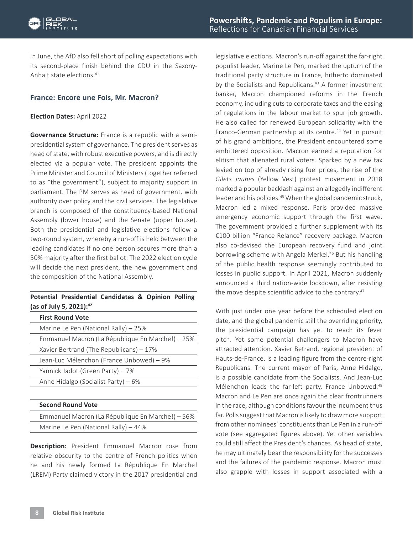

In June, the AfD also fell short of polling expectations with its second-place finish behind the CDU in the Saxony-Anhalt state elections.41

#### **France: Encore une Fois, Mr. Macron?**

#### **Election Dates:** April 2022

**Governance Structure:** France is a republic with a semipresidential system of governance. The president serves as head of state, with robust executive powers, and is directly elected via a popular vote. The president appoints the Prime Minister and Council of Ministers (together referred to as "the government"), subject to majority support in parliament. The PM serves as head of government, with authority over policy and the civil services. The legislative branch is composed of the constituency-based National Assembly (lower house) and the Senate (upper house). Both the presidential and legislative elections follow a two-round system, whereby a run-off is held between the leading candidates if no one person secures more than a 50% majority after the first ballot. The 2022 election cycle will decide the next president, the new government and the composition of the National Assembly.

#### **Potential Presidential Candidates & Opinion Polling (as of July 5, 2021):42**

| <b>First Round Vote</b>                          |
|--------------------------------------------------|
| Marine Le Pen (National Rally) - 25%             |
| Emmanuel Macron (La République En Marche!) - 25% |
| Xavier Bertrand (The Republicans) – 17%          |
| Jean-Luc Mélenchon (France Unbowed) – 9%         |
| Yannick Jadot (Green Party) – 7%                 |
| Anne Hidalgo (Socialist Party) – 6%              |
|                                                  |
| <b>Second Round Vote</b>                         |
| Emmanuel Macron (La République En Marche!) - 56% |
| Marine Le Pen (National Rally) – 44%             |
|                                                  |

**Description:** President Emmanuel Macron rose from relative obscurity to the centre of French politics when he and his newly formed La République En Marche! (LREM) Party claimed victory in the 2017 presidential and legislative elections. Macron's run-off against the far-right populist leader, Marine Le Pen, marked the upturn of the traditional party structure in France, hitherto dominated by the Socialists and Republicans.<sup>43</sup> A former investment banker, Macron championed reforms in the French economy, including cuts to corporate taxes and the easing of regulations in the labour market to spur job growth. He also called for renewed European solidarity with the Franco-German partnership at its centre.<sup>44</sup> Yet in pursuit of his grand ambitions, the President encountered some embittered opposition. Macron earned a reputation for elitism that alienated rural voters. Sparked by a new tax levied on top of already rising fuel prices, the rise of the *Gilets Jaunes* (Yellow Vest) protest movement in 2018 marked a popular backlash against an allegedly indifferent leader and his policies.<sup>45</sup> When the global pandemic struck, Macron led a mixed response. Paris provided massive emergency economic support through the first wave. The government provided a further supplement with its €100 billion "France Relance" recovery package. Macron also co-devised the European recovery fund and joint borrowing scheme with Angela Merkel.<sup>46</sup> But his handling of the public health response seemingly contributed to losses in public support. In April 2021, Macron suddenly announced a third nation-wide lockdown, after resisting the move despite scientific advice to the contrary.<sup>47</sup>

With just under one year before the scheduled election date, and the global pandemic still the overriding priority, the presidential campaign has yet to reach its fever pitch. Yet some potential challengers to Macron have attracted attention. Xavier Betrand, regional president of Hauts-de-France, is a leading figure from the centre-right Republicans. The current mayor of Paris, Anne Hidalgo, is a possible candidate from the Socialists. And Jean-Luc Mélenchon leads the far-left party, France Unbowed.<sup>48</sup> Macron and Le Pen are once again the clear frontrunners in the race, although conditions favour the incumbent thus far. Polls suggest that Macron is likely to draw more support from other nominees' constituents than Le Pen in a run-off vote (see aggregated figures above). Yet other variables could still affect the President's chances. As head of state, he may ultimately bear the responsibility for the successes and the failures of the pandemic response. Macron must also grapple with losses in support associated with a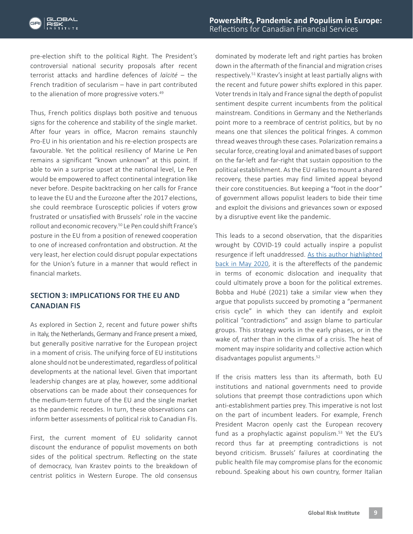pre-election shift to the political Right. The President's controversial national security proposals after recent terrorist attacks and hardline defences of *laïcité* – the French tradition of secularism – have in part contributed to the alienation of more progressive voters.<sup>49</sup>

Thus, French politics displays both positive and tenuous signs for the coherence and stability of the single market. After four years in office, Macron remains staunchly Pro-EU in his orientation and his re-election prospects are favourable. Yet the political resiliency of Marine Le Pen remains a significant "known unknown" at this point. If able to win a surprise upset at the national level, Le Pen would be empowered to affect continental integration like never before. Despite backtracking on her calls for France to leave the EU and the Eurozone after the 2017 elections, she could reembrace Eurosceptic policies if voters grow frustrated or unsatisfied with Brussels' role in the vaccine rollout and economic recovery.<sup>50</sup> Le Pen could shift France's posture in the EU from a position of renewed cooperation to one of increased confrontation and obstruction. At the very least, her election could disrupt popular expectations for the Union's future in a manner that would reflect in financial markets.

### **SECTION 3: IMPLICATIONS FOR THE EU AND CANADIAN FIS**

As explored in Section 2, recent and future power shifts in Italy, the Netherlands, Germany and France present a mixed, but generally positive narrative for the European project in a moment of crisis. The unifying force of EU institutions alone should not be underestimated, regardless of political developments at the national level. Given that important leadership changes are at play, however, some additional observations can be made about their consequences for the medium-term future of the EU and the single market as the pandemic recedes. In turn, these observations can inform better assessments of political risk to Canadian FIs.

First, the current moment of EU solidarity cannot discount the endurance of populist movements on both sides of the political spectrum. Reflecting on the state of democracy, Ivan Krastev points to the breakdown of centrist politics in Western Europe. The old consensus

dominated by moderate left and right parties has broken down in the aftermath of the financial and migration crises respectively.51 Krastev's insight at least partially aligns with the recent and future power shifts explored in this paper. Voter trends in Italy and France signal the depth of populist sentiment despite current incumbents from the political mainstream. Conditions in Germany and the Netherlands point more to a reembrace of centrist politics, but by no means one that silences the political fringes. A common thread weaves through these cases. Polarization remains a secular force, creating loyal and animated bases of support on the far-left and far-right that sustain opposition to the political establishment. As the EU rallies to mount a shared recovery, these parties may find limited appeal beyond their core constituencies. But keeping a "foot in the door" of government allows populist leaders to bide their time and exploit the divisions and grievances sown or exposed by a disruptive event like the pandemic.

This leads to a second observation, that the disparities wrought by COVID-19 could actually inspire a populist resurgence if left unaddressed. [As this author highlighted](https://globalriskinstitute.org/publications/geopolitics-in-a-post-pandemic-world-2/) [back in May 2020](https://globalriskinstitute.org/publications/geopolitics-in-a-post-pandemic-world-2/), it is the aftereffects of the pandemic in terms of economic dislocation and inequality that could ultimately prove a boon for the political extremes. Bobba and Hubé (2021) take a similar view when they argue that populists succeed by promoting a "permanent crisis cycle" in which they can identify and exploit political "contradictions" and assign blame to particular groups. This strategy works in the early phases, or in the wake of, rather than in the climax of a crisis. The heat of moment may inspire solidarity and collective action which disadvantages populist arguments.<sup>52</sup>

If the crisis matters less than its aftermath, both EU institutions and national governments need to provide solutions that preempt those contradictions upon which anti-establishment parties prey. This imperative is not lost on the part of incumbent leaders. For example, French President Macron openly cast the European recovery fund as a prophylactic against populism. $53$  Yet the EU's record thus far at preempting contradictions is not beyond criticism. Brussels' failures at coordinating the public health file may compromise plans for the economic rebound. Speaking about his own country, former Italian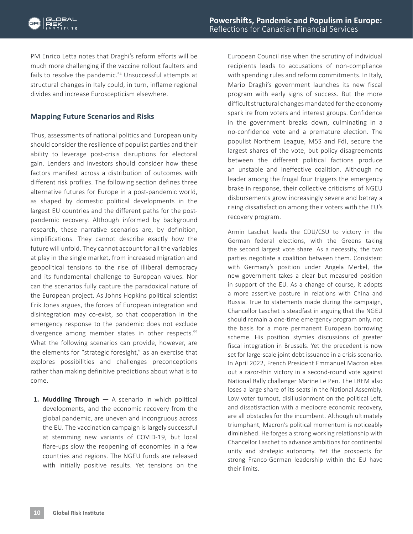PM Enrico Letta notes that Draghi's reform efforts will be much more challenging if the vaccine rollout faulters and fails to resolve the pandemic.<sup>54</sup> Unsuccessful attempts at structural changes in Italy could, in turn, inflame regional divides and increase Euroscepticism elsewhere.

#### **Mapping Future Scenarios and Risks**

Thus, assessments of national politics and European unity should consider the resilience of populist parties and their ability to leverage post-crisis disruptions for electoral gain. Lenders and investors should consider how these factors manifest across a distribution of outcomes with different risk profiles. The following section defines three alternative futures for Europe in a post-pandemic world, as shaped by domestic political developments in the largest EU countries and the different paths for the postpandemic recovery. Although informed by background research, these narrative scenarios are, by definition, simplifications. They cannot describe exactly how the future will unfold. They cannot account for all the variables at play in the single market, from increased migration and geopolitical tensions to the rise of illiberal democracy and its fundamental challenge to European values. Nor can the scenarios fully capture the paradoxical nature of the European project. As Johns Hopkins political scientist Erik Jones argues, the forces of European integration and disintegration may co-exist, so that cooperation in the emergency response to the pandemic does not exclude divergence among member states in other respects.<sup>55</sup> What the following scenarios can provide, however, are the elements for "strategic foresight," as an exercise that explores possibilities and challenges preconceptions rather than making definitive predictions about what is to come.

**1. Muddling Through —** A scenario in which political developments, and the economic recovery from the global pandemic, are uneven and incongruous across the EU. The vaccination campaign is largely successful at stemming new variants of COVID-19, but local flare-ups slow the reopening of economies in a few countries and regions. The NGEU funds are released with initially positive results. Yet tensions on the

European Council rise when the scrutiny of individual recipients leads to accusations of non-compliance with spending rules and reform commitments. In Italy, Mario Draghi's government launches its new fiscal program with early signs of success. But the more difficult structural changes mandated for the economy spark ire from voters and interest groups. Confidence in the government breaks down, culminating in a no-confidence vote and a premature election. The populist Northern League, M5S and FdI, secure the largest shares of the vote, but policy disagreements between the different political factions produce an unstable and ineffective coalition. Although no leader among the frugal four triggers the emergency brake in response, their collective criticisms of NGEU disbursements grow increasingly severe and betray a rising dissatisfaction among their voters with the EU's recovery program.

Armin Laschet leads the CDU/CSU to victory in the German federal elections, with the Greens taking the second largest vote share. As a necessity, the two parties negotiate a coalition between them. Consistent with Germany's position under Angela Merkel, the new government takes a clear but measured position in support of the EU. As a change of course, it adopts a more assertive posture in relations with China and Russia. True to statements made during the campaign, Chancellor Laschet is steadfast in arguing that the NGEU should remain a one-time emergency program only, not the basis for a more permanent European borrowing scheme. His position stymies discussions of greater fiscal integration in Brussels. Yet the precedent is now set for large-scale joint debt issuance in a crisis scenario. In April 2022, French President Emmanuel Macron ekes out a razor-thin victory in a second-round vote against National Rally challenger Marine Le Pen. The LREM also loses a large share of its seats in the National Assembly. Low voter turnout, disillusionment on the political Left, and dissatisfaction with a mediocre economic recovery, are all obstacles for the incumbent. Although ultimately triumphant, Macron's political momentum is noticeably diminished. He forges a strong working relationship with Chancellor Laschet to advance ambitions for continental unity and strategic autonomy. Yet the prospects for strong Franco-German leadership within the EU have their limits.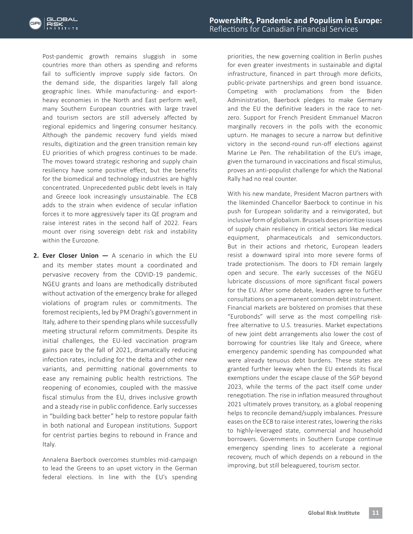

Post-pandemic growth remains sluggish in some countries more than others as spending and reforms fail to sufficiently improve supply side factors. On the demand side, the disparities largely fall along geographic lines. While manufacturing- and exportheavy economies in the North and East perform well, many Southern European countries with large travel and tourism sectors are still adversely affected by regional epidemics and lingering consumer hesitancy. Although the pandemic recovery fund yields mixed results, digitization and the green transition remain key EU priorities of which progress continues to be made. The moves toward strategic reshoring and supply chain resiliency have some positive effect, but the benefits for the biomedical and technology industries are highly concentrated. Unprecedented public debt levels in Italy and Greece look increasingly unsustainable. The ECB adds to the strain when evidence of secular inflation forces it to more aggressively taper its QE program and raise interest rates in the second half of 2022. Fears mount over rising sovereign debt risk and instability within the Eurozone.

**2. Ever Closer Union —** A scenario in which the EU and its member states mount a coordinated and pervasive recovery from the COVID-19 pandemic. NGEU grants and loans are methodically distributed without activation of the emergency brake for alleged violations of program rules or commitments. The foremost recipients, led by PM Draghi's government in Italy, adhere to their spending plans while successfully meeting structural reform commitments. Despite its initial challenges, the EU-led vaccination program gains pace by the fall of 2021, dramatically reducing infection rates, including for the delta and other new variants, and permitting national governments to ease any remaining public health restrictions. The reopening of economies, coupled with the massive fiscal stimulus from the EU, drives inclusive growth and a steady rise in public confidence. Early successes in "building back better" help to restore popular faith in both national and European institutions. Support for centrist parties begins to rebound in France and Italy.

Annalena Baerbock overcomes stumbles mid-campaign to lead the Greens to an upset victory in the German federal elections. In line with the EU's spending

priorities, the new governing coalition in Berlin pushes for even greater investments in sustainable and digital infrastructure, financed in part through more deficits, public-private partnerships and green bond issuance. Competing with proclamations from the Biden Administration, Baerbock pledges to make Germany and the EU the definitive leaders in the race to netzero. Support for French President Emmanuel Macron marginally recovers in the polls with the economic upturn. He manages to secure a narrow but definitive victory in the second-round run-off elections against Marine Le Pen. The rehabilitation of the EU's image, given the turnaround in vaccinations and fiscal stimulus, proves an anti-populist challenge for which the National Rally had no real counter.

With his new mandate, President Macron partners with the likeminded Chancellor Baerbock to continue in his push for European solidarity and a reinvigorated, but inclusive form of globalism. Brussels does prioritize issues of supply chain resiliency in critical sectors like medical equipment, pharmaceuticals and semiconductors. But in their actions and rhetoric, European leaders resist a downward spiral into more severe forms of trade protectionism. The doors to FDI remain largely open and secure. The early successes of the NGEU lubricate discussions of more significant fiscal powers for the EU. After some debate, leaders agree to further consultations on a permanent common debt instrument. Financial markets are bolstered on promises that these "Eurobonds" will serve as the most compelling riskfree alternative to U.S. treasuries. Market expectations of new joint debt arrangements also lower the cost of borrowing for countries like Italy and Greece, where emergency pandemic spending has compounded what were already tenuous debt burdens. These states are granted further leeway when the EU extends its fiscal exemptions under the escape clause of the SGP beyond 2023, while the terms of the pact itself come under renegotiation. The rise in inflation measured throughout 2021 ultimately proves transitory, as a global reopening helps to reconcile demand/supply imbalances. Pressure eases on the ECB to raise interest rates, lowering the risks to highly-leveraged state, commercial and household borrowers. Governments in Southern Europe continue emergency spending lines to accelerate a regional recovery, much of which depends on a rebound in the improving, but still beleaguered, tourism sector.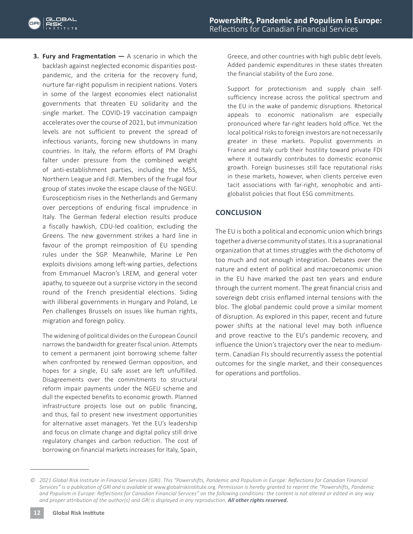**3. Fury and Fragmentation —** A scenario in which the backlash against neglected economic disparities postpandemic, and the criteria for the recovery fund, nurture far-right populism in recipient nations. Voters in some of the largest economies elect nationalist governments that threaten EU solidarity and the single market. The COVID-19 vaccination campaign accelerates over the course of 2021, but immunization levels are not sufficient to prevent the spread of infectious variants, forcing new shutdowns in many countries. In Italy, the reform efforts of PM Draghi falter under pressure from the combined weight of anti-establishment parties, including the M5S, Northern League and FdI. Members of the frugal four group of states invoke the escape clause of the NGEU. Euroscepticism rises in the Netherlands and Germany over perceptions of enduring fiscal imprudence in Italy. The German federal election results produce a fiscally hawkish, CDU-led coalition, excluding the Greens. The new government strikes a hard line in favour of the prompt reimposition of EU spending rules under the SGP. Meanwhile, Marine Le Pen exploits divisions among left-wing parties, defections from Emmanuel Macron's LREM, and general voter apathy, to squeeze out a surprise victory in the second round of the French presidential elections. Siding with illiberal governments in Hungary and Poland, Le Pen challenges Brussels on issues like human rights, migration and foreign policy.

The widening of political divides on the European Council narrows the bandwidth for greater fiscal union. Attempts to cement a permanent joint borrowing scheme falter when confronted by renewed German opposition, and hopes for a single, EU safe asset are left unfulfilled. Disagreements over the commitments to structural reform impair payments under the NGEU scheme and dull the expected benefits to economic growth. Planned infrastructure projects lose out on public financing, and thus, fail to present new investment opportunities for alternative asset managers. Yet the EU's leadership and focus on climate change and digital policy still drive regulatory changes and carbon reduction. The cost of borrowing on financial markets increases for Italy, Spain,

Greece, and other countries with high public debt levels. Added pandemic expenditures in these states threaten the financial stability of the Euro zone.

Support for protectionism and supply chain selfsufficiency increase across the political spectrum and the EU in the wake of pandemic disruptions. Rhetorical appeals to economic nationalism are especially pronounced where far-right leaders hold office. Yet the local political risks to foreign investors are not necessarily greater in these markets. Populist governments in France and Italy curb their hostility toward private FDI where it outwardly contributes to domestic economic growth. Foreign businesses still face reputational risks in these markets, however, when clients perceive even tacit associations with far-right, xenophobic and antiglobalist policies that flout ESG commitments.

### **CONCLUSION**

The EU is both a political and economic union which brings together a diverse community of states. It is a supranational organization that at times struggles with the dichotomy of too much and not enough integration. Debates over the nature and extent of political and macroeconomic union in the EU have marked the past ten years and endure through the current moment. The great financial crisis and sovereign debt crisis enflamed internal tensions with the bloc. The global pandemic could prove a similar moment of disruption. As explored in this paper, recent and future power shifts at the national level may both influence and prove reactive to the EU's pandemic recovery, and influence the Union's trajectory over the near to mediumterm. Canadian FIs should recurrently assess the potential outcomes for the single market, and their consequences for operations and portfolios.

*<sup>©</sup> 2021 Global Risk Institute in Financial Services (GRI). This "Powershifts, Pandemic and Populism in Europe: Reflections for Canadian Financial Services" is a publication of GRI and is available at* www.globalriskinstitute.org. *Permission is hereby granted to reprint the "Powershifts, Pandemic and Populism in Europe: Reflections for Canadian Financial Services" on the following conditions: the content is not altered or edited in any way*  and proper attribution of the author(s) and GRI is displayed in any reproduction. **All other rights reserved.**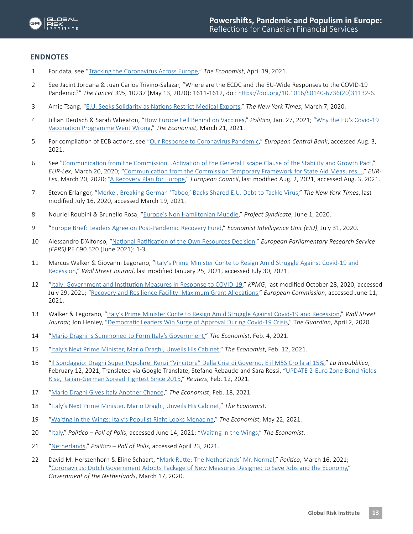

#### **ENDNOTES**

- 1 For data, see "[Tracking the Coronavirus Across Europe,](https://www.economist.com/graphic-detail/tracking-coronavirus-across-europe)" *The Economist*, April 19, 2021.
- 2 See Jacint Jordana & Juan Carlos Trivino-Salazar, "Where are the ECDC and the EU-Wide Responses to the COVID-19 Pandemic?" *The Lancet 395*, 10237 (May 13, 2020): 1611-1612, doi: [https://doi.org/10.1016/S0140-6736\(20\)31132-6](https://linkinghub.elsevier.com/retrieve/pii/S0140673620311326).
- 3 Amie Tsang, "[E.U. Seeks Solidarity as Nations Restrict Medical Exports](https://www.nytimes.com/2020/03/07/business/eu-exports-medical-equipment.html)," *The New York Times*, March 7, 2020.
- 4 Jillian Deutsch & Sarah Wheaton, ["How Europe Fell Behind on Vaccines](https://www.politico.eu/article/europe-coronavirus-vaccine-struggle-pfizer-biontech-astrazeneca/)," *Politico*, Jan. 27, 2021; "[Why the EU's Covid-19](https://www.economist.com/briefing/2021/03/31/why-the-eus-covid-19-vaccination-programme-went-wrong)  [Vaccination Programme Went Wrong](https://www.economist.com/briefing/2021/03/31/why-the-eus-covid-19-vaccination-programme-went-wrong)," *The Economist*, March 21, 2021.
- 5 For compilation of ECB actions, see "[Our Response to Coronavirus Pandemic,](https://www.ecb.europa.eu/home/search/coronavirus/html/index.en.html)" *European Central Bank*, accessed Aug. 3, 2021.
- 6 See "[Communication from the Commission...Activation of the General Escape Clause of the Stability and Growth Pact](https://eur-lex.europa.eu/legal-content/EN/TXT/?qid=1591119459569&uri=CELEX%3A52020DC0123)," *EUR-Lex*, March 20, 2020; "[Communication from the Commission Temporary Framework for State Aid Measures...](https://eur-lex.europa.eu/legal-content/EN/TXT/?uri=OJ%3AJOC_2020_091_I_0001)," *EUR-Lex*, March 20, 2020; ["A Recovery Plan for Europe](https://www.consilium.europa.eu/en/policies/eu-recovery-plan/)," *European Council*, last modified Aug. 2, 2021, accessed Aug. 3, 2021.
- 7 Steven Erlanger, ["Merkel, Breaking German 'Taboo,' Backs Shared E.U. Debt to Tackle Virus](https://www.nytimes.com/2020/05/18/world/europe/coronavirus-european-union-fund.html)," *The New York Times*, last modified July 16, 2020, accessed March 19, 2021.
- 8 Nouriel Roubini & Brunello Rosa, "[Europe's Non Hamiltonian Muddle,](https://www.project-syndicate.org/commentary/eu-covid-recovery-fund-not-hamiltonian-debt-mutualization-by-nouriel-roubini-and-brunello-rosa-2020-06)" *Project Syndicate*, June 1, 2020.
- 9 ["Europe Brief: Leaders Agree on Post-Pandemic Recovery Fund,](https://www.eiu.com/n/europe-brief-leaders-agree-on-post-pandemic-recovery-fund/)" *Economist Intelligence Unit (EIU)*, July 31, 2020.
- 10 Alessandro D'Alfonso, "[National Ratification of the Own Resources Decision](https://www.europarl.europa.eu/RegData/etudes/BRIE/2021/690520/EPRS_BRI(2021)690520_EN.pdf)," *European Parliamentary Research Service (EPRS)* PE 690.520 (June 2021): 1-3.
- 11 Marcus Walker & Giovanni Legorano, "Italy's Prime Minister Conte to Resign Amid Struggle Against Covid-19 and [Recession,](https://www.wsj.com/articles/italian-prime-minister-giuseppe-conte-to-resign-11611599680)" *Wall Street Journal*, last modified January 25, 2021, accessed July 30, 2021.
- 12 "[Italy: Government and Institution Measures in Response to COVID-19](https://home.kpmg/xx/en/home/insights/2020/04/italy-government-and-institution-measures-in-response-to-covid.html)," *KPMG*, last modified October 28, 2020, accessed July 29, 2021; "[Recovery and Resilience Facility: Maximum Grant Allocations](https://ec.europa.eu/info/sites/default/files/about_the_european_commission/eu_budget/recovery_and_resilience_facility_.pdf)," *European Commission*, accessed June 11, 2021.
- 13 Walker & Legorano, "[Italy's Prime Minister Conte to Resign Amid Struggle Against Covid-19 and Recession,](https://ec.europa.eu/info/sites/default/files/about_the_european_commission/eu_budget/recovery_and_resilience_facility_.pdf)" *Wall Street Journal*; Jon Henley, "[Democratic Leaders Win Surge of Approval During Covid-19 Crisis](https://www.theguardian.com/world/2020/apr/02/democratic-leaders-win-surge-of-approval-during-covid-19-crisis)," T*he Guardian*, April 2, 2020.
- 14 ["Mario Draghi Is Summoned to Form Italy's Government,](https://www.economist.com/europe/2021/02/03/mario-draghi-is-summoned-to-form-italys-government?itm_source=parsely-api)" *The Economist*, Feb. 4, 2021.
- 15 ["Italy's Next Prime Minister, Mario Draghi, Unveils His Cabinet](https://www.economist.com/europe/2021/02/12/italys-next-prime-minister-mario-draghi-unveils-his-cabinet)," *The Economist*, Feb. 12, 2021.
- 16 ["Il Sondaggio: Draghi Super Popolare, Renzi "Vincitore" Della Crisi di Governo. E il M5S Crolla al 15%,](https://www.repubblica.it/politica/2021/02/12/news/draghi-renzi-sondaggio-piepoli-287178947/)" *La Repubblica*, February 12, 2021, Translated via Google Translate; Stefano Rebaudo and Sara Rossi, "UPDATE 2-Euro Zone Bond Yields [Rise, Italian-German Spread Tightest Since 2015](https://www.reuters.com/article/eurozone-bonds/update-1-italys-10-year-bond-yields-hit-new-record-low-on-hopes-for-draghi-govt-idUSL1N2KI0DI)," *Reuters*, Feb. 12, 2021.
- 17 ["Mario Draghi Gives Italy Another Chance,](https://www.economist.com/leaders/2021/02/18/mario-draghi-gives-italy-another-chance)" *The Economist*, Feb. 18, 2021.
- 18 ["Italy's Next Prime Minister, Mario Draghi, Unveils His Cabinet](https://www.economist.com/europe/2021/02/12/italys-next-prime-minister-mario-draghi-unveils-his-cabinet)," *The Economist*.
- 19 "[Waiting in the Wings: Italy's Populist Right Looks Menacing](https://www.economist.com/europe/2021/05/22/italys-populist-right-looks-menacing)," *The Economist*, May 22, 2021.
- 20 ["Italy,](https://www.politico.eu/europe-poll-of-polls/italy/)" *Politico Poll of Poll*s, accessed June 14, 2021; "[Waiting in the Wings](https://www.economist.com/europe/2021/05/22/italys-populist-right-looks-menacing)," *The Economist*.
- 21 ["Netherlands,](https://www.politico.eu/europe-poll-of-polls/netherlands/)" *Politico Poll of Polls*, accessed April 23, 2021.
- 22 David M. Herszenhorn & Eline Schaart, "[Mark Rutte: The Netherlands' Mr. Normal,](https://www.politico.eu/article/netherlands-general-election-2021-mark-rutte-polls/)" *Politico*, March 16, 2021; ["Coronavirus: Dutch Government Adopts Package of New Measures Designed to Save Jobs and the Economy,](https://www.government.nl/latest/news/2020/03/19/coronavirus-dutch-government-adopts-package-of-new-measures-designed-to-save-jobs-and-the-economy)" *Government of the Netherlands*, March 17, 2020.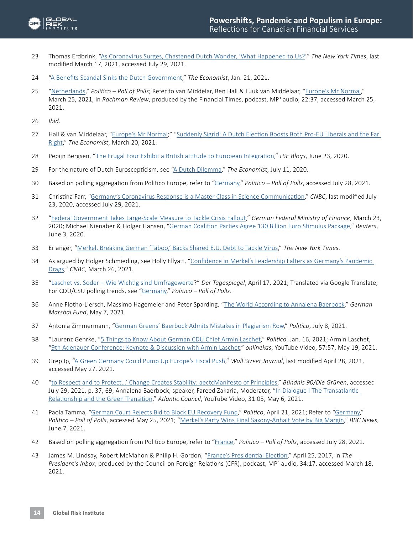

- 23 Thomas Erdbrink, ["As Coronavirus Surges, Chastened Dutch Wonder, 'What Happened to Us?'](https://www.nytimes.com/2020/10/29/world/europe/covid-19-netherlands.html)" *The New York Times*, last modified March 17, 2021, accessed July 29, 2021.
- 24 "[A Benefits Scandal Sinks the Dutch Government](https://www.economist.com/europe/2021/01/23/a-benefits-scandal-sinks-the-dutch-government?itm_source=parsely-api)," *The Economist*, Jan. 21, 2021.
- 25 ["Netherlands,](https://www.politico.eu/europe-poll-of-polls/netherlands/)" *Politico Poll of Polls*; Refer to van Middelar, Ben Hall & Luuk van Middelaar, "[Europe's Mr Normal](https://www.ft.com/content/177f8ca1-c8a0-4aa9-bf5f-44fbb044fbc6)," March 25, 2021, in Rachman Review, produced by the Financial Times, podcast, MP<sup>3</sup> audio, 22:37, accessed March 25, 2021.
- 26 *Ibid*.
- 27 Hall & van Middelaar, ["Europe's Mr Normal;](https://www.ft.com/content/177f8ca1-c8a0-4aa9-bf5f-44fbb044fbc6)" "[Suddenly Sigrid: A Dutch Election Boosts Both Pro-EU Liberals and the Far](https://www.economist.com/europe/2021/03/20/a-dutch-election-boosts-both-pro-eu-liberals-and-the-far-right)  [Right](https://www.economist.com/europe/2021/03/20/a-dutch-election-boosts-both-pro-eu-liberals-and-the-far-right)," *The Economist*, March 20, 2021.
- 28 Pepijn Bergsen, "[The Frugal Four Exhibit a British attitude to European Integration](https://blogs.lse.ac.uk/brexit/2020/06/23/the-frugal-four-exhibit-a-british-attitude-to-european-integration/)," *LSE Blogs*, June 23, 2020.
- 29 For the nature of Dutch Euroscepticism, see "[A Dutch Dilemma,](https://www.economist.com/europe/2020/07/11/a-dutch-dilemma)" *The Economist*, July 11, 2020.
- 30 Based on polling aggregation from Politico Europe, refer to "[Germany,](https://www.politico.eu/europe-poll-of-polls/germany/)" *Politico Poll of Polls*, accessed July 28, 2021.
- 31 Christina Farr, "[Germany's Coronavirus Response is a Master Class in Science Communication](https://www.cnbc.com/2020/07/21/germanys-coronavirus-response-masterful-science-communication.html)," *CNBC*, last modified July 23, 2020, accessed July 29, 2021.
- 32 ["Federal Government Takes Large-Scale Measure to Tackle Crisis Fallout,](https://www.bundesfinanzministerium.de/Content/EN/Pressemitteilungen/2020/2020-03-23-supplementary-budget.html)" *German Federal Ministry of Finance*, March 23, 2020; Michael Nienaber & Holger Hansen, "[German Coalition Parties Agree 130 Billion Euro Stimulus Package](https://www.reuters.com/article/us-health-coronavirus-germany-stimulus-idUSKBN23A26W)," *Reuters*, June 3, 2020.
- 33 Erlanger, ["Merkel, Breaking German 'Taboo,' Backs Shared E.U. Debt to Tackle Virus](https://www.nytimes.com/2020/05/18/world/europe/coronavirus-european-union-fund.html)," *The New York Times*.
- 34 As argued by Holger Schmieding, see Holly Ellyatt, "Confidence in Merkel's Leadership Falters as Germany's Pandemic [Drags](https://www.cnbc.com/2021/03/26/germanys-merkel-and-cdu/csu-popularity-falls-during-the-pandemic-.html)," *CNBC*, March 26, 2021.
- 35 "[Laschet vs. Soder Wie Wichtig sind Umfragewerte](https://www.tagesspiegel.de/politik/die-macht-der-zahlen-laschet-vs-soeder-wie-wichtig-sind-umfragewerte/27104064.html)?" *Der Tagespiegel*, April 17, 2021; Translated via Google Translate; For CDU/CSU polling trends, see ["Germany,](https://www.politico.eu/europe-poll-of-polls/germany/)" *Politico – Poll of Polls*.
- 36 Anne Flotho-Liersch, Massimo Hagemeier and Peter Sparding, "[The World According to Annalena Baerbock,](https://www.gmfus.org/blog/2021/05/07/world-according-annalena-baerbock)" *German Marshal Fund*, May 7, 2021.
- 37 Antonia Zimmermann, ["German Greens' Baerbock Admits Mistakes in Plagiarism Row,](https://www.politico.eu/article/german-greens-leader-baerbock-self-critical-in-plagiarism-debate/)" *Politico*, July 8, 2021.
- 38 "Laurenz Gehrke, ["5 Things to Know About German CDU Chief Armin Laschet,](https://www.politico.eu/article/5-things-to-know-about-german-cdu-chief-armin-laschet/)" *Politico*, Jan. 16, 2021; Armin Laschet, ["9th Adenauer Conference: Keynote & Discussion with Armin Laschet,](https://www.youtube.com/watch?v=2FyvPc2aD98)" *onlinekas*, YouTube Video, 57:57, May 19, 2021.
- 39 Grep Ip, ["A Green Germany Could Pump Up Europe's Fiscal Push,](https://www.wsj.com/articles/a-green-germany-could-pump-up-europes-fiscal-push-11619626947)" *Wall Street Journal*, last modified April 28, 2021, accessed May 27, 2021.
- 40 ["to Respect and to Protect…' Change Creates Stability: aectcManifesto of Principles](https://cms.gruene.de/uploads/documents/20210311_Grundsatzprogramm_EN.pdf)," *Bündnis 90/Die Grünen*, accessed July 29, 2021, p. 37, 69; Annalena Baerbock, speaker, Fareed Zakaria, Moderator, "[In Dialogue I The Transatlantic](https://www.youtube.com/watch?v=bkt91mtIYGs)  [Relationship and the Green Transition](https://www.youtube.com/watch?v=bkt91mtIYGs)," *Atlantic Council*, YouTube Video, 31:03, May 6, 2021.
- 41 Paola Tamma, ["German Court Rejects Bid to Block EU Recovery Fund,](https://www.politico.eu/article/german-court-rejects-bid-to-block-eu-recovery-fund/)" *Politico*, April 21, 2021; Refer to ["Germany,](https://www.politico.eu/europe-poll-of-polls/germany/ )" *Politico – Poll of Polls*, accessed May 25, 2021; ["Merkel's Party Wins Final Saxony-Anhalt Vote by Big Margin](https://www.bbc.com/news/world-europe-57376440)," *BBC News*, June 7, 2021.
- 42 Based on polling aggregation from Politico Europe, refer to "[France](https://www.politico.eu/europe-poll-of-polls/france/)," *Politico Poll of Polls*, accessed July 28, 2021.
- 43 James M. Lindsay, Robert McMahon & Philip H. Gordon, "[France's Presidential Election](https://www.cfr.org/podcasts/frances-presidential-election)," April 25, 2017, in *The*  President's Inbox, produced by the Council on Foreign Relations (CFR), podcast, MP<sup>3</sup> audio, 34:17, accessed March 18, 2021.